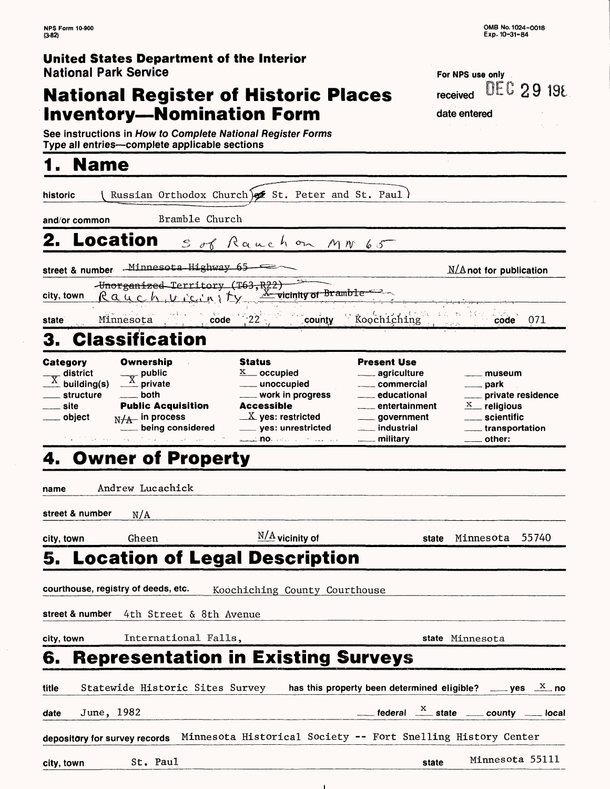### **United States Department of the Interior** National Park Service

## **National Register of Historic Places Inventory—Nomination Form**

**For NPS use only** received DEC 29 198

date entered

See instructions in How *to Complete National Register Forms* Type all entries—complete applicable sections\_\_\_\_\_\_\_\_\_\_\_\_\_\_\_

# **1. Name**

| historic                                                                                               |                                                                                                                                                                                                                                    | Russian Orthodox Church) of St. Peter and St. Paul)                                                                                                                                                |                                                                                                                                                                                             |                                                                                                        |
|--------------------------------------------------------------------------------------------------------|------------------------------------------------------------------------------------------------------------------------------------------------------------------------------------------------------------------------------------|----------------------------------------------------------------------------------------------------------------------------------------------------------------------------------------------------|---------------------------------------------------------------------------------------------------------------------------------------------------------------------------------------------|--------------------------------------------------------------------------------------------------------|
| and/or common                                                                                          | Bramble Church                                                                                                                                                                                                                     |                                                                                                                                                                                                    |                                                                                                                                                                                             |                                                                                                        |
| 2.<br>Location                                                                                         |                                                                                                                                                                                                                                    | Sof Rauchon MN 65                                                                                                                                                                                  |                                                                                                                                                                                             |                                                                                                        |
|                                                                                                        | - street & number   .- <sup>Minnesota Highway 65</sup>                                                                                                                                                                             |                                                                                                                                                                                                    |                                                                                                                                                                                             | $M/A$ not for publication                                                                              |
| city, town                                                                                             |                                                                                                                                                                                                                                    | Hnorganized Territory (T63, R22)<br>Rauch vicin   Ly <u>X</u> vicinity of Bramble                                                                                                                  |                                                                                                                                                                                             |                                                                                                        |
| state                                                                                                  | Minnesota code 22                                                                                                                                                                                                                  | county                                                                                                                                                                                             | Roochiching                                                                                                                                                                                 | 071<br>code                                                                                            |
| З.                                                                                                     | <b>Classification</b>                                                                                                                                                                                                              |                                                                                                                                                                                                    |                                                                                                                                                                                             |                                                                                                        |
| Category<br>$\overline{X}$ district<br>$\overline{X}$ building(s)<br>structure<br>__ site<br>__ object | Ownership<br>$\frac{1}{\sqrt{X}}$ public<br>$\stackrel{\wedge}{-}$ private<br>both<br><b>Public Acquisition</b><br>$N/A$ in process<br>being considered<br>$\mathcal{T}^{\prime}$ , we can also assume that $\mathcal{T}^{\prime}$ | <b>Status</b><br>$X$ occupied<br>___ unoccupied<br>____ work in progress<br><b>Accessible</b><br>$\underline{X}$ yes: restricted<br>____ yes: unrestricted<br>والمتحدث والمتحدث والمتحلة والمستقلة | <b>Present Use</b><br><u>__</u> ___ agriculture<br>_____ commercial<br>── educational<br><sub>───</sub> entertainment<br><sub>——</sub> government<br><u>_</u> __ industrial<br>___ military | museum<br>park<br>private residence<br>$X$ religious<br>___ scientific<br>___ transportation<br>other: |
|                                                                                                        | 4. Owner of Property                                                                                                                                                                                                               |                                                                                                                                                                                                    |                                                                                                                                                                                             |                                                                                                        |
| name                                                                                                   | Andrew Lucachick                                                                                                                                                                                                                   |                                                                                                                                                                                                    |                                                                                                                                                                                             |                                                                                                        |
| street & number                                                                                        | N/A                                                                                                                                                                                                                                |                                                                                                                                                                                                    |                                                                                                                                                                                             |                                                                                                        |
| city, town                                                                                             | Gheen                                                                                                                                                                                                                              | $\frac{N/A}{A}$ vicinity of                                                                                                                                                                        | state                                                                                                                                                                                       | 55740<br>Minnesota                                                                                     |
|                                                                                                        |                                                                                                                                                                                                                                    | 5. Location of Legal Description                                                                                                                                                                   |                                                                                                                                                                                             |                                                                                                        |
|                                                                                                        | courthouse, registry of deeds, etc.                                                                                                                                                                                                | Koochiching County Courthouse                                                                                                                                                                      |                                                                                                                                                                                             |                                                                                                        |
|                                                                                                        | <b>street &amp; number</b> 4th Street & 8th Avenue                                                                                                                                                                                 |                                                                                                                                                                                                    |                                                                                                                                                                                             |                                                                                                        |
| city, town                                                                                             | International Falls,                                                                                                                                                                                                               |                                                                                                                                                                                                    |                                                                                                                                                                                             | state Minnesota                                                                                        |
| 6.                                                                                                     |                                                                                                                                                                                                                                    | <b>Representation in Existing Surveys</b>                                                                                                                                                          |                                                                                                                                                                                             |                                                                                                        |
| title                                                                                                  | Statewide Historic Sites Survey                                                                                                                                                                                                    |                                                                                                                                                                                                    |                                                                                                                                                                                             | has this property been determined eligible? _____ yes $\frac{X}{X}$ no                                 |
| June, 1982<br>date                                                                                     |                                                                                                                                                                                                                                    |                                                                                                                                                                                                    |                                                                                                                                                                                             | $\frac{X}{1}$ federal $\frac{X}{1}$ state $\frac{X}{1}$ county $\frac{X}{1}$ local                     |
| depository for survey records                                                                          |                                                                                                                                                                                                                                    | Minnesota Historical Society -- Fort Snelling History Center                                                                                                                                       |                                                                                                                                                                                             |                                                                                                        |
| city, town                                                                                             | St. Paul                                                                                                                                                                                                                           |                                                                                                                                                                                                    | state                                                                                                                                                                                       | Minnesota 55111                                                                                        |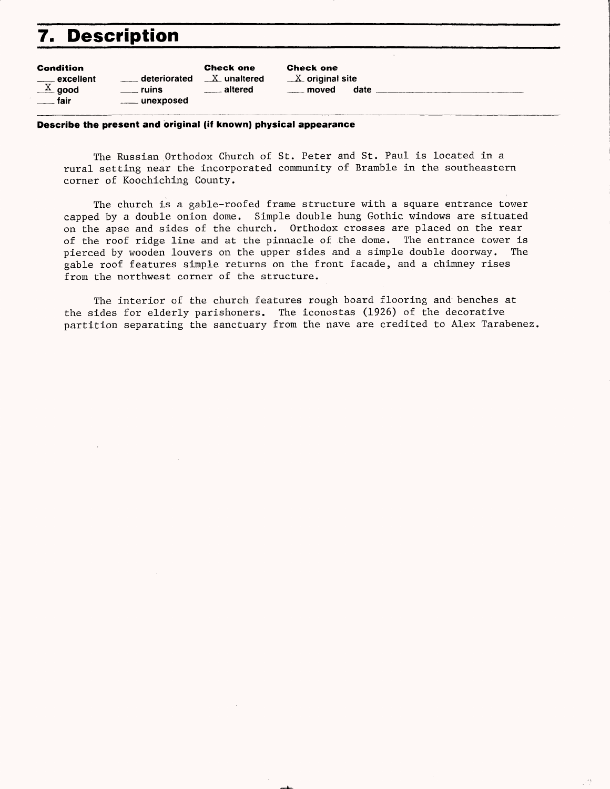# **7. Description**

| <b>Condition</b><br>$\equiv$ excellent<br>$\frac{X}{A}$ good | deteriorated<br>ruins. | <b>Check one</b><br>$X_$ unaltered<br><u>____</u> altered | <b>Check one</b><br>$X$ original site<br>moved | date |  |
|--------------------------------------------------------------|------------------------|-----------------------------------------------------------|------------------------------------------------|------|--|
| ── fair                                                      | ____ unexposed         |                                                           |                                                |      |  |

#### **Describe the present and original (if known) physical appearance**

The Russian Orthodox Church of St. Peter and St. Paul is located in a rural setting near the incorporated community of Bramble in the southeastern corner of Koochiching County.

The church is a gable-roofed frame structure with a square entrance tower capped by a double onion dome. Simple double hung Gothic windows are situated on the apse and sides of the church. Orthodox crosses are placed on the rear of the roof ridge line and at the pinnacle of the dome. The entrance tower is pierced by wooden louvers on the upper sides and a simple double doorway. The gable roof features simple returns on the front facade, and a chimney rises from the northwest corner of the structure.

The interior of the church features rough board flooring and benches at the sides for elderly parishoners. The iconostas (1926) of the decorative partition separating the sanctuary from the nave are credited to Alex Tarabenez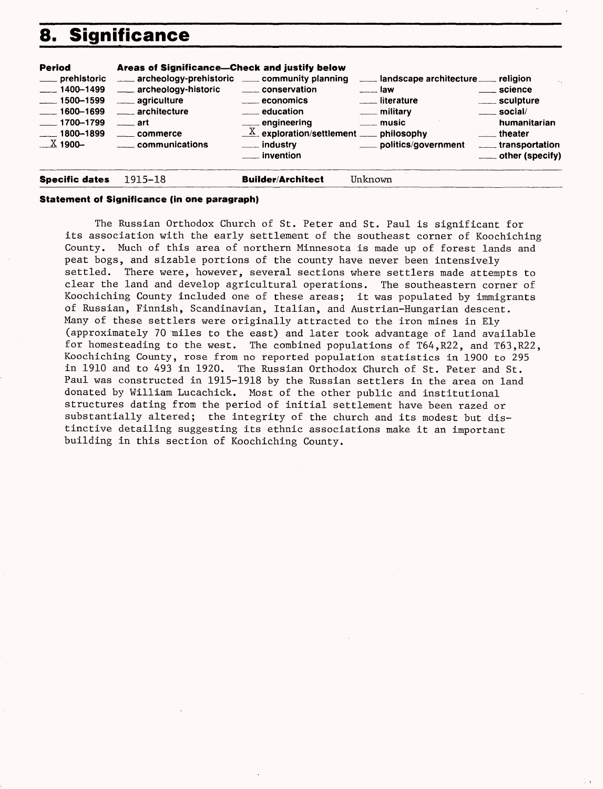# **8. Significance**

| <b>Period</b><br>___ prehistoric<br>$-1400 - 1499$<br>$-1500 - 1599$<br>$\frac{1600 - 1699}{1600 - 1699}$<br>$-1700 - 1799$<br>$-1800 - 1899$<br>$\_\,\_\,\_\,\_\$ 1900- | Areas of Significance—Check and justify below<br>archeology-prehistoric ____ community planning<br>___ archeology-historic<br>____ agriculture<br>_____ architecture<br>$\frac{1}{2}$ art<br>_____ commerce<br>____ communications | ____ conservation<br>____ economics<br>education<br>___ engineering<br>$\underline{X}$ exploration/settlement $\underline{X}$ philosophy<br>___ industry<br><u>_</u> __ invention | and scape architecture _____ religion<br>$\equiv$ law<br><u>__</u> __ literature<br><u>__</u> __ military<br>$\equiv$ music<br>politics/government | <u>___</u> science<br>_____ sculpture<br>$\frac{1}{2}$ social/<br>humanitarian<br><u>__</u> __theater<br>_____ transportation<br>$\equiv$ other (specify) |
|--------------------------------------------------------------------------------------------------------------------------------------------------------------------------|------------------------------------------------------------------------------------------------------------------------------------------------------------------------------------------------------------------------------------|-----------------------------------------------------------------------------------------------------------------------------------------------------------------------------------|----------------------------------------------------------------------------------------------------------------------------------------------------|-----------------------------------------------------------------------------------------------------------------------------------------------------------|
| <b>Specific dates</b>                                                                                                                                                    | 1915–18                                                                                                                                                                                                                            | <b>Builder/Architect</b>                                                                                                                                                          | Unknown                                                                                                                                            |                                                                                                                                                           |

#### **Statement of Significance (in one paragraph)**

The Russian Orthodox Church of St. Peter and St. Paul is significant for its association with the early settlement of the southeast corner of Koochiching County. Much of this area of northern Minnesota is made up of forest lands and peat bogs, and sizable portions of the county have never been intensively settled. There were, however, several sections where settlers made attempts to clear the land and develop agricultural operations. The southeastern corner of Koochiching County included one of these areas; it was populated by immigrants of Russian, Finnish, Scandinavian, Italian, and Austrian-Hungarian descent. Many of these settlers were originally attracted to the iron mines in Ely (approximately 70 miles to the east) and later took advantage of land available for homesteading to the west. The combined populations of T64,R22, and T63,R22, Koochiching County, rose from no reported population statistics in 1900 to 295 in 1910 and to 493 in 1920. The Russian Orthodox Church of St. Peter and St. Paul was constructed in 1915-1918 by the Russian settlers in the area on land donated by William Lucachick. Most of the other public and institutional structures dating from the period of initial settlement have been razed or substantially altered; the integrity of the church and its modest but distinctive detailing suggesting its ethnic associations make it an important building in this section of Koochiching County.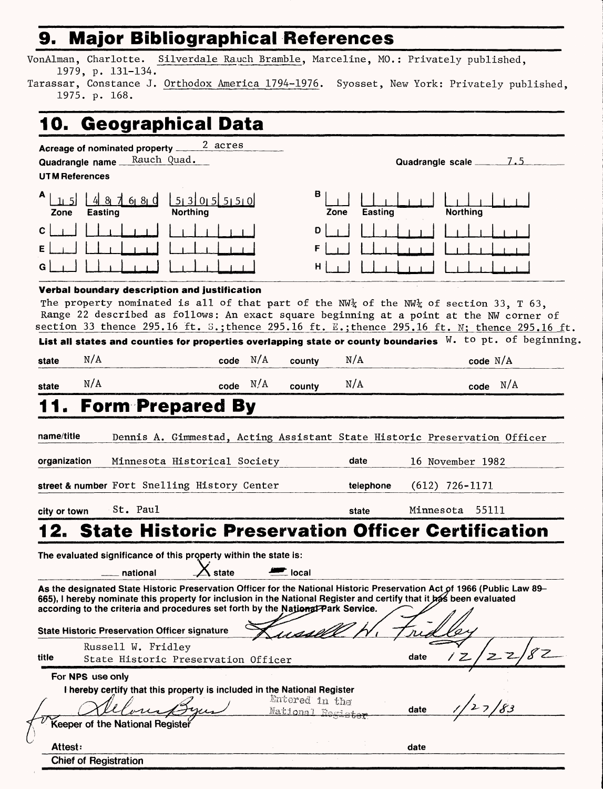### **9. Major Bibliographical References\_\_\_\_\_\_\_\_\_**

VonAlman, Charlotte. Silverdale Rauch Bramble, Marceline, MO.: Privately published, 1979, p. 131-134.

Tarassar, Constance J. Orthodox America 1794-1976. Syosset, New York: Privately published, 1975. p. 168.

## **10. Geographical Data**

1

|                              | <u>acographiva</u> r                                                                                                                                                                                                                                                                                                                                       |                                  |             |                                    |                            |           |                                               |  |
|------------------------------|------------------------------------------------------------------------------------------------------------------------------------------------------------------------------------------------------------------------------------------------------------------------------------------------------------------------------------------------------------|----------------------------------|-------------|------------------------------------|----------------------------|-----------|-----------------------------------------------|--|
| <b>UTM References</b>        | Acreage of nominated property<br>Quadrangle name __                                                                                                                                                                                                                                                                                                        | 2 acres<br>Rauch Quad.           |             |                                    |                            |           |                                               |  |
| Zone                         | 61 81 Q<br>Easting                                                                                                                                                                                                                                                                                                                                         | 5 3 0 5 5 5 0<br><b>Northing</b> |             | в                                  | Easting<br>Zone            |           | <b>Northing</b>                               |  |
| С                            |                                                                                                                                                                                                                                                                                                                                                            |                                  |             | D                                  |                            |           |                                               |  |
|                              |                                                                                                                                                                                                                                                                                                                                                            |                                  |             |                                    |                            |           |                                               |  |
|                              | Verbal boundary description and justification<br>The property nominated is all of that part of the NW <sub>4</sub> of the NW <sub>4</sub> of section 33, T 63,<br>Range 22 described as follows: An exact square beginning at a point at the NW corner of<br>section 33 thence 295.16 ft. S.; thence 295.16 ft. E.; thence 295.16 ft. N; thence 295.16 ft. |                                  |             |                                    |                            |           |                                               |  |
|                              | List all states and counties for properties overlapping state or county boundaries $N$ . to pt. of beginning                                                                                                                                                                                                                                               |                                  |             |                                    |                            |           |                                               |  |
| state                        | N/A                                                                                                                                                                                                                                                                                                                                                        |                                  | N/A<br>code | county                             | N/A                        |           | code $N/A$                                    |  |
| state                        | N/A                                                                                                                                                                                                                                                                                                                                                        |                                  | N/A<br>code | county                             | N/A                        |           | $code$ $N/A$                                  |  |
| organization<br>city or town | street & number Fort Snelling History Center<br>St. Paul                                                                                                                                                                                                                                                                                                   | Minnesota Historical Society     |             |                                    | date<br>telephone<br>state | Minnesota | 16 November 1982<br>$(612)$ 726-1171<br>55111 |  |
|                              | <b>State Historic Preservation Officer Certification</b>                                                                                                                                                                                                                                                                                                   |                                  |             |                                    |                            |           |                                               |  |
|                              | The evaluated significance of this property within the state is:<br>__ national                                                                                                                                                                                                                                                                            | $\lambda$ state                  |             | $\blacksquare$ local               |                            |           |                                               |  |
|                              | As the designated State Historic Preservation Officer for the National Historic Preservation Act of 1966 (Public Law 89-<br>665), I hereby nominate this property for inclusion in the National Register and certify that it bas been evaluated<br>according to the criteria and procedures set forth by the National Park Service.                        |                                  |             |                                    |                            |           |                                               |  |
|                              | <b>State Historic Preservation Officer signature</b>                                                                                                                                                                                                                                                                                                       |                                  |             |                                    |                            |           |                                               |  |
| title                        | Russell W. Fridley<br>State Historic Preservation Officer                                                                                                                                                                                                                                                                                                  |                                  |             |                                    |                            | date      | سے ا                                          |  |
|                              | For NPS use only<br>I hereby certify that this property is included in the National Register                                                                                                                                                                                                                                                               |                                  |             | Entered in the<br>National Bosista |                            | date      |                                               |  |
|                              | Keeper of the National Register                                                                                                                                                                                                                                                                                                                            |                                  |             |                                    |                            |           |                                               |  |
| Attest:                      |                                                                                                                                                                                                                                                                                                                                                            |                                  |             |                                    |                            | date      |                                               |  |
|                              | <b>Chief of Registration</b>                                                                                                                                                                                                                                                                                                                               |                                  |             |                                    |                            |           |                                               |  |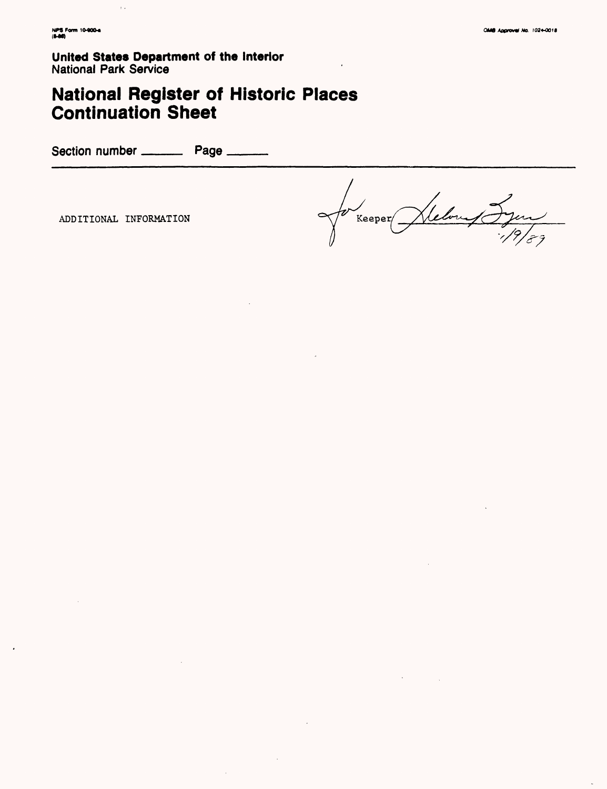**United States Department of the Interior National Park Service** 

### **National Register of Historic Places Continuation Sheet**

Section number \_\_\_\_\_\_\_\_\_\_\_ Page \_\_\_\_\_\_\_\_

ADDITIONAL INFORMATION

 $\bar{z}$  .

Helong Jyon  $Keeper$